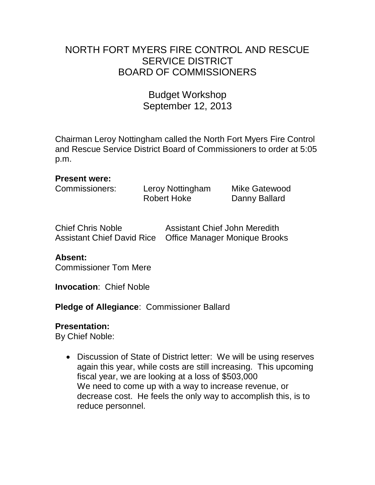# NORTH FORT MYERS FIRE CONTROL AND RESCUE SERVICE DISTRICT BOARD OF COMMISSIONERS

# Budget Workshop September 12, 2013

Chairman Leroy Nottingham called the North Fort Myers Fire Control and Rescue Service District Board of Commissioners to order at 5:05 p.m.

#### **Present were:**

Commissioners: Leroy Nottingham Mike Gatewood

Robert Hoke Danny Ballard

| <b>Chief Chris Noble</b> | <b>Assistant Chief John Meredith</b>                      |
|--------------------------|-----------------------------------------------------------|
|                          | Assistant Chief David Rice  Office Manager Monique Brooks |

## **Absent:**

Commissioner Tom Mere

**Invocation**: Chief Noble

**Pledge of Allegiance**: Commissioner Ballard

## **Presentation:**

By Chief Noble:

• Discussion of State of District letter: We will be using reserves again this year, while costs are still increasing. This upcoming fiscal year, we are looking at a loss of \$503,000 We need to come up with a way to increase revenue, or decrease cost. He feels the only way to accomplish this, is to reduce personnel.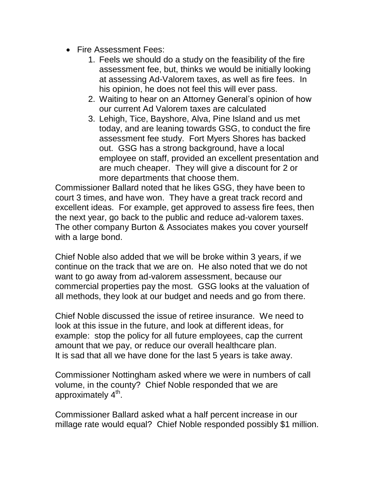- Fire Assessment Fees:
	- 1. Feels we should do a study on the feasibility of the fire assessment fee, but, thinks we would be initially looking at assessing Ad-Valorem taxes, as well as fire fees. In his opinion, he does not feel this will ever pass.
	- 2. Waiting to hear on an Attorney General's opinion of how our current Ad Valorem taxes are calculated
	- 3. Lehigh, Tice, Bayshore, Alva, Pine Island and us met today, and are leaning towards GSG, to conduct the fire assessment fee study. Fort Myers Shores has backed out. GSG has a strong background, have a local employee on staff, provided an excellent presentation and are much cheaper. They will give a discount for 2 or more departments that choose them.

Commissioner Ballard noted that he likes GSG, they have been to court 3 times, and have won. They have a great track record and excellent ideas. For example, get approved to assess fire fees, then the next year, go back to the public and reduce ad-valorem taxes. The other company Burton & Associates makes you cover yourself with a large bond.

Chief Noble also added that we will be broke within 3 years, if we continue on the track that we are on. He also noted that we do not want to go away from ad-valorem assessment, because our commercial properties pay the most. GSG looks at the valuation of all methods, they look at our budget and needs and go from there.

Chief Noble discussed the issue of retiree insurance. We need to look at this issue in the future, and look at different ideas, for example: stop the policy for all future employees, cap the current amount that we pay, or reduce our overall healthcare plan. It is sad that all we have done for the last 5 years is take away.

Commissioner Nottingham asked where we were in numbers of call volume, in the county? Chief Noble responded that we are approximately 4<sup>th</sup>.

Commissioner Ballard asked what a half percent increase in our millage rate would equal? Chief Noble responded possibly \$1 million.